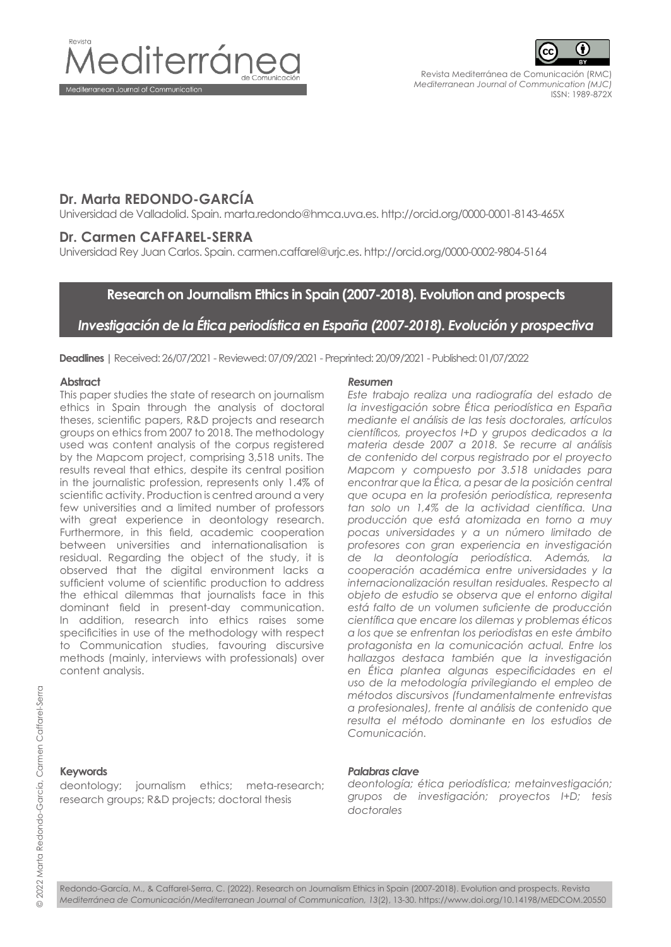



Revista Mediterránea de Comunicación (RMC) *Mediterranean Journal of Communication (MJC)* ISSN: 1989-872X

# **Dr. Marta REDONDO-GARCÍA**

Universidad de Valladolid. Spain. marta.redondo@hmca.uva.es. http://orcid.org/0000-0001-8143-465X

## **Dr. Carmen CAFFAREL-SERRA**

Universidad Rey Juan Carlos. Spain. carmen.caffarel@urjc.es. http://orcid.org/0000-0002-9804-5164

# **Research on Journalism Ethics in Spain (2007-2018). Evolution and prospects**

# *Investigación de la Ética periodística en España (2007-2018). Evolución y prospectiva*

**Deadlines |** Received: 26/07/2021 - Reviewed: 07/09/2021 - Preprinted: 20/09/2021 - Published: 01/07/2022

#### **Abstract**

This paper studies the state of research on journalism ethics in Spain through the analysis of doctoral theses, scientific papers, R&D projects and research groups on ethics from 2007 to 2018. The methodology used was content analysis of the corpus registered by the Mapcom project, comprising 3,518 units. The results reveal that ethics, despite its central position in the journalistic profession, represents only 1.4% of scientific activity. Production is centred around a very few universities and a limited number of professors with great experience in deontology research. Furthermore, in this field, academic cooperation between universities and internationalisation is residual. Regarding the object of the study, it is observed that the digital environment lacks a sufficient volume of scientific production to address the ethical dilemmas that journalists face in this dominant field in present-day communication. In addition, research into ethics raises some specificities in use of the methodology with respect to Communication studies, favouring discursive methods (mainly, interviews with professionals) over content analysis.

#### *Resumen*

*Este trabajo realiza una radiografía del estado de la investigación sobre Ética periodística en España mediante el análisis de las tesis doctorales, artículos científicos, proyectos I+D y grupos dedicados a la materia desde 2007 a 2018. Se recurre al análisis de contenido del corpus registrado por el proyecto Mapcom y compuesto por 3.518 unidades para encontrar que la Ética, a pesar de la posición central que ocupa en la profesión periodística, representa tan solo un 1,4% de la actividad científica. Una producción que está atomizada en torno a muy pocas universidades y a un número limitado de profesores con gran experiencia en investigación de la deontología periodística. Además, la cooperación académica entre universidades y la internacionalización resultan residuales. Respecto al objeto de estudio se observa que el entorno digital está falto de un volumen suficiente de producción científica que encare los dilemas y problemas éticos a los que se enfrentan los periodistas en este ámbito protagonista en la comunicación actual. Entre los hallazgos destaca también que la investigación en Ética plantea algunas especificidades en el uso de la metodología privilegiando el empleo de métodos discursivos (fundamentalmente entrevistas a profesionales), frente al análisis de contenido que resulta el método dominante en los estudios de Comunicación.* 

# **Keywords**

deontology; journalism ethics; meta-research; research groups; R&D projects; doctoral thesis

#### *Palabras clave*

*deontología; ética periodística; metainvestigación; grupos de investigación; proyectos I+D; tesis doctorales* 

Redondo-García, M., & Caffarel-Serra, C. (2022). Research on Journalism Ethics in Spain (2007-2018). Evolution and prospects. Revista *Mediterránea de Comunicación/Mediterranean Journal of Communication, 13*(2), 13-30. https://www.doi.org/10.14198/MEDCOM.20550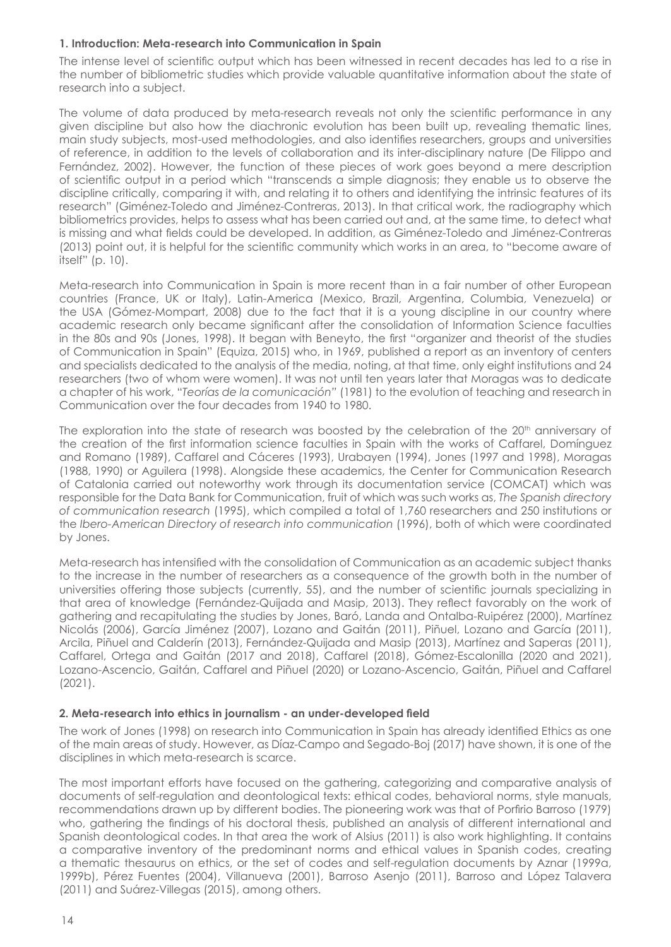## **1. Introduction: Meta-research into Communication in Spain**

The intense level of scientific output which has been witnessed in recent decades has led to a rise in the number of bibliometric studies which provide valuable quantitative information about the state of research into a subject.

The volume of data produced by meta-research reveals not only the scientific performance in any given discipline but also how the diachronic evolution has been built up, revealing thematic lines, main study subjects, most-used methodologies, and also identifies researchers, groups and universities of reference, in addition to the levels of collaboration and its inter-disciplinary nature (De Filippo and Fernández, 2002). However, the function of these pieces of work goes beyond a mere description of scientific output in a period which "transcends a simple diagnosis; they enable us to observe the discipline critically, comparing it with, and relating it to others and identifying the intrinsic features of its research" (Giménez-Toledo and Jiménez-Contreras, 2013). In that critical work, the radiography which bibliometrics provides, helps to assess what has been carried out and, at the same time, to detect what is missing and what fields could be developed. In addition, as Giménez-Toledo and Jiménez-Contreras (2013) point out, it is helpful for the scientific community which works in an area, to "become aware of itself" (p. 10).

Meta-research into Communication in Spain is more recent than in a fair number of other European countries (France, UK or Italy), Latin-America (Mexico, Brazil, Argentina, Columbia, Venezuela) or the USA (Gómez-Mompart, 2008) due to the fact that it is a young discipline in our country where academic research only became significant after the consolidation of Information Science faculties in the 80s and 90s (Jones, 1998). It began with Beneyto, the first "organizer and theorist of the studies of Communication in Spain" (Equiza, 2015) who, in 1969, published a report as an inventory of centers and specialists dedicated to the analysis of the media, noting, at that time, only eight institutions and 24 researchers (two of whom were women). It was not until ten years later that Moragas was to dedicate a chapter of his work, "*Teorías de la comunicación"* (1981) to the evolution of teaching and research in Communication over the four decades from 1940 to 1980.

The exploration into the state of research was boosted by the celebration of the 20<sup>th</sup> anniversary of the creation of the first information science faculties in Spain with the works of Caffarel, Domínguez and Romano (1989), Caffarel and Cáceres (1993), Urabayen (1994), Jones (1997 and 1998), Moragas (1988, 1990) or Aguilera (1998). Alongside these academics, the Center for Communication Research of Catalonia carried out noteworthy work through its documentation service (COMCAT) which was responsible for the Data Bank for Communication, fruit of which was such works as, *The Spanish directory of communication research* (1995), which compiled a total of 1,760 researchers and 250 institutions or the *Ibero-American Directory of research into communication* (1996), both of which were coordinated by Jones.

Meta-research has intensified with the consolidation of Communication as an academic subject thanks to the increase in the number of researchers as a consequence of the growth both in the number of universities offering those subjects (currently, 55), and the number of scientific journals specializing in that area of knowledge (Fernández-Quijada and Masip, 2013). They reflect favorably on the work of gathering and recapitulating the studies by Jones, Baró, Landa and Ontalba-Ruipérez (2000), Martínez Nicolás (2006), García Jiménez (2007), Lozano and Gaitán (2011), Piñuel, Lozano and García (2011), Arcila, Piñuel and Calderín (2013), Fernández-Quijada and Masip (2013), Martínez and Saperas (2011), Caffarel, Ortega and Gaitán (2017 and 2018), Caffarel (2018), Gómez-Escalonilla (2020 and 2021), Lozano-Ascencio, Gaitán, Caffarel and Piñuel (2020) or Lozano-Ascencio, Gaitán, Piñuel and Caffarel (2021).

#### **2. Meta-research into ethics in journalism - an under-developed field**

The work of Jones (1998) on research into Communication in Spain has already identified Ethics as one of the main areas of study. However, as Díaz-Campo and Segado-Boj (2017) have shown, it is one of the disciplines in which meta-research is scarce.

The most important efforts have focused on the gathering, categorizing and comparative analysis of documents of self-regulation and deontological texts: ethical codes, behavioral norms, style manuals, recommendations drawn up by different bodies. The pioneering work was that of Porfirio Barroso (1979) who, gathering the findings of his doctoral thesis, published an analysis of different international and Spanish deontological codes. In that area the work of Alsius (2011) is also work highlighting. It contains a comparative inventory of the predominant norms and ethical values in Spanish codes, creating a thematic thesaurus on ethics, or the set of codes and self-regulation documents by Aznar (1999a, 1999b), Pérez Fuentes (2004), Villanueva (2001), Barroso Asenjo (2011), Barroso and López Talavera (2011) and Suárez-Villegas (2015), among others.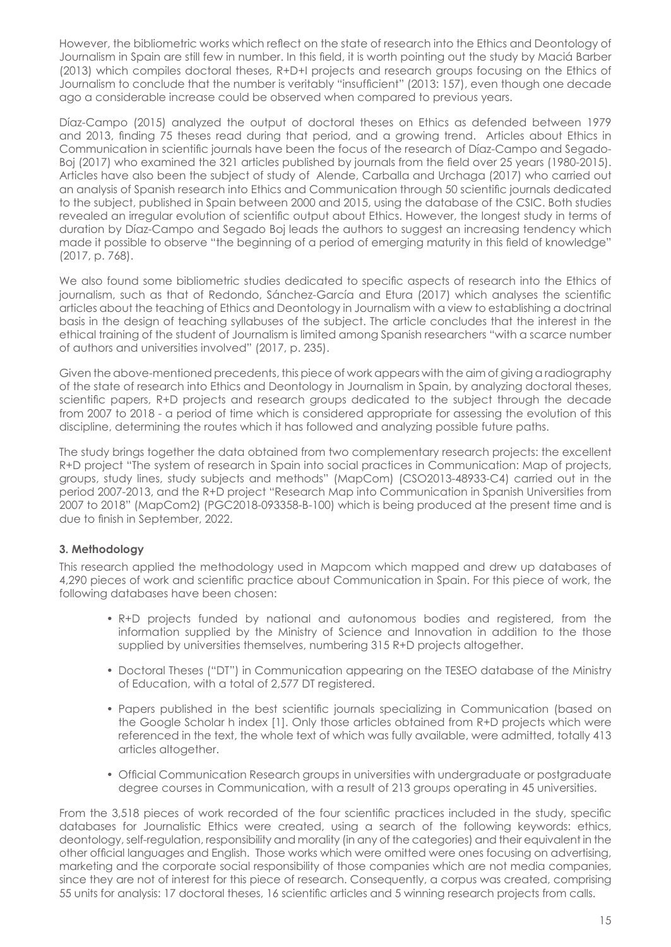However, the bibliometric works which reflect on the state of research into the Ethics and Deontology of Journalism in Spain are still few in number. In this field, it is worth pointing out the study by Maciá Barber (2013) which compiles doctoral theses, R+D+I projects and research groups focusing on the Ethics of Journalism to conclude that the number is veritably "insufficient" (2013: 157), even though one decade ago a considerable increase could be observed when compared to previous years.

Díaz-Campo (2015) analyzed the output of doctoral theses on Ethics as defended between 1979 and 2013, finding 75 theses read during that period, and a growing trend. Articles about Ethics in Communication in scientific journals have been the focus of the research of Díaz-Campo and Segado-Boj (2017) who examined the 321 articles published by journals from the field over 25 years (1980-2015). Articles have also been the subject of study of Alende, Carballa and Urchaga (2017) who carried out an analysis of Spanish research into Ethics and Communication through 50 scientific journals dedicated to the subject, published in Spain between 2000 and 2015, using the database of the CSIC. Both studies revealed an irregular evolution of scientific output about Ethics. However, the longest study in terms of duration by Díaz-Campo and Segado Boj leads the authors to suggest an increasing tendency which made it possible to observe "the beginning of a period of emerging maturity in this field of knowledge" (2017, p. 768).

We also found some bibliometric studies dedicated to specific aspects of research into the Ethics of journalism, such as that of Redondo, Sánchez-García and Etura (2017) which analyses the scientific articles about the teaching of Ethics and Deontology in Journalism with a view to establishing a doctrinal basis in the design of teaching syllabuses of the subject. The article concludes that the interest in the ethical training of the student of Journalism is limited among Spanish researchers "with a scarce number of authors and universities involved" (2017, p. 235).

Given the above-mentioned precedents, this piece of work appears with the aim of giving a radiography of the state of research into Ethics and Deontology in Journalism in Spain, by analyzing doctoral theses, scientific papers, R+D projects and research groups dedicated to the subject through the decade from 2007 to 2018 - a period of time which is considered appropriate for assessing the evolution of this discipline, determining the routes which it has followed and analyzing possible future paths.

The study brings together the data obtained from two complementary research projects: the excellent R+D project "The system of research in Spain into social practices in Communication: Map of projects, groups, study lines, study subjects and methods" (MapCom) (CSO2013-48933-C4) carried out in the period 2007-2013, and the R+D project "Research Map into Communication in Spanish Universities from 2007 to 2018" (MapCom2) (PGC2018-093358-B-100) which is being produced at the present time and is due to finish in September, 2022.

# **3. Methodology**

This research applied the methodology used in Mapcom which mapped and drew up databases of 4,290 pieces of work and scientific practice about Communication in Spain. For this piece of work, the following databases have been chosen:

- R+D projects funded by national and autonomous bodies and registered, from the information supplied by the Ministry of Science and Innovation in addition to the those supplied by universities themselves, numbering 315 R+D projects altogether.
- Doctoral Theses ("DT") in Communication appearing on the TESEO database of the Ministry of Education, with a total of 2,577 DT registered.
- Papers published in the best scientific journals specializing in Communication (based on the Google Scholar h index [1]. Only those articles obtained from R+D projects which were referenced in the text, the whole text of which was fully available, were admitted, totally 413 articles altogether.
- Official Communication Research groups in universities with undergraduate or postgraduate degree courses in Communication, with a result of 213 groups operating in 45 universities.

From the 3,518 pieces of work recorded of the four scientific practices included in the study, specific databases for Journalistic Ethics were created, using a search of the following keywords: ethics, deontology, self-regulation, responsibility and morality (in any of the categories) and their equivalent in the other official languages and English. Those works which were omitted were ones focusing on advertising, marketing and the corporate social responsibility of those companies which are not media companies, since they are not of interest for this piece of research. Consequently, a corpus was created, comprising 55 units for analysis: 17 doctoral theses, 16 scientific articles and 5 winning research projects from calls.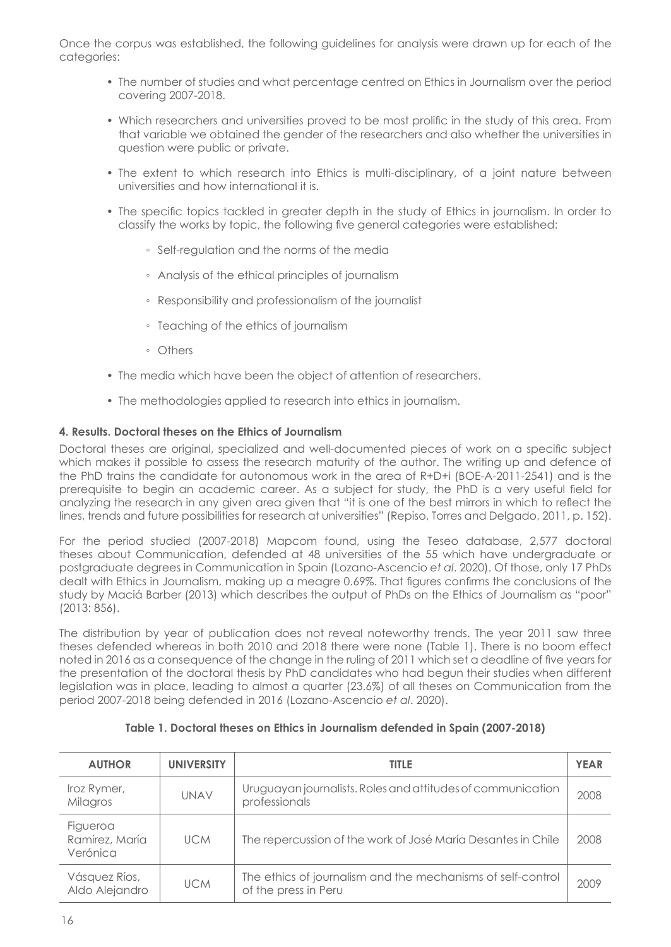Once the corpus was established, the following guidelines for analysis were drawn up for each of the categories:

- The number of studies and what percentage centred on Ethics in Journalism over the period covering 2007-2018.
- Which researchers and universities proved to be most prolific in the study of this area. From that variable we obtained the gender of the researchers and also whether the universities in question were public or private.
- The extent to which research into Ethics is multi-disciplinary, of a joint nature between universities and how international it is.
- The specific topics tackled in greater depth in the study of Ethics in journalism. In order to classify the works by topic, the following five general categories were established:
	- Self-regulation and the norms of the media
	- Analysis of the ethical principles of journalism
	- Responsibility and professionalism of the journalist
	- Teaching of the ethics of journalism
	- Others
- The media which have been the object of attention of researchers.
- The methodologies applied to research into ethics in journalism.

## **4. Results. Doctoral theses on the Ethics of Journalism**

Doctoral theses are original, specialized and well-documented pieces of work on a specific subject which makes it possible to assess the research maturity of the author. The writing up and defence of the PhD trains the candidate for autonomous work in the area of R+D+i (BOE-A-2011-2541) and is the prerequisite to begin an academic career. As a subject for study, the PhD is a very useful field for analyzing the research in any given area given that "it is one of the best mirrors in which to reflect the lines, trends and future possibilities for research at universities" (Repiso, Torres and Delgado, 2011, p. 152).

For the period studied (2007-2018) Mapcom found, using the Teseo database, 2,577 doctoral theses about Communication, defended at 48 universities of the 55 which have undergraduate or postgraduate degrees in Communication in Spain (Lozano-Ascencio *et al*. 2020). Of those, only 17 PhDs dealt with Ethics in Journalism, making up a meagre 0.69%. That figures confirms the conclusions of the study by Maciá Barber (2013) which describes the output of PhDs on the Ethics of Journalism as "poor" (2013: 856).

The distribution by year of publication does not reveal noteworthy trends. The year 2011 saw three theses defended whereas in both 2010 and 2018 there were none (Table 1). There is no boom effect noted in 2016 as a consequence of the change in the ruling of 2011 which set a deadline of five years for the presentation of the doctoral thesis by PhD candidates who had begun their studies when different legislation was in place, leading to almost a quarter (23.6%) of all theses on Communication from the period 2007-2018 being defended in 2016 (Lozano-Ascencio *et al*. 2020).

| <b>AUTHOR</b>                          | <b>UNIVERSITY</b> | <b>TITLE</b>                                                                        | <b>YEAR</b> |
|----------------------------------------|-------------------|-------------------------------------------------------------------------------------|-------------|
| Iroz Rymer,<br>Milagros                | UNAV              | Uruguayan journalists. Roles and attitudes of communication<br>professionals        | 2008        |
| Figueroa<br>Ramírez, María<br>Verónica | <b>UCM</b>        | The repercussion of the work of José María Desantes in Chile                        | 2008        |
| Vásquez Ríos,<br>Aldo Alejandro        | <b>UCM</b>        | The ethics of journalism and the mechanisms of self-control<br>of the press in Peru | 2009        |

**Table 1. Doctoral theses on Ethics in Journalism defended in Spain (2007-2018)**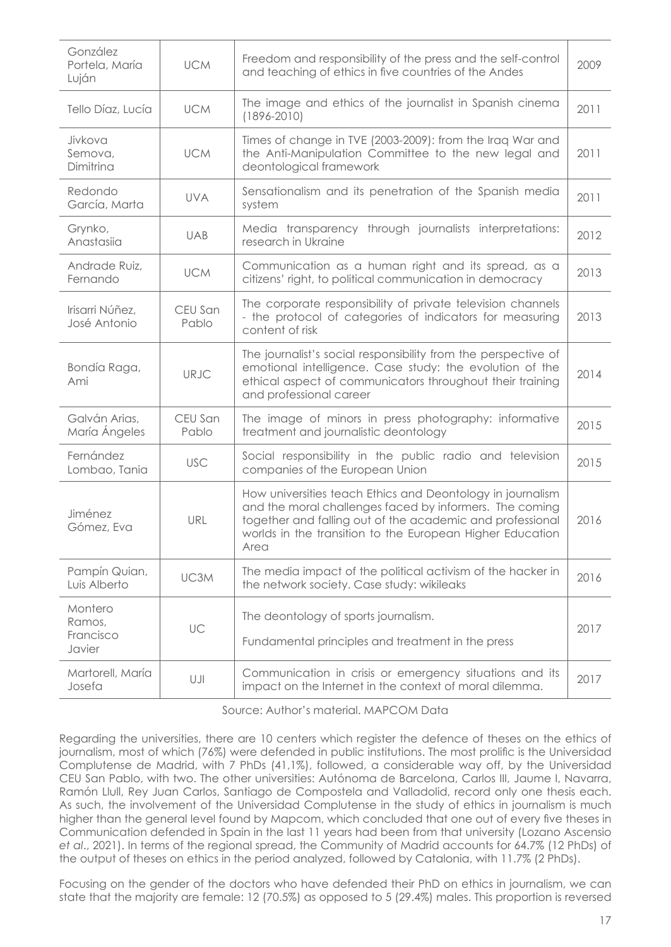| González<br>Portela, María<br>Luján      | <b>UCM</b>       | Freedom and responsibility of the press and the self-control<br>and teaching of ethics in five countries of the Andes                                                                                                                                   |      |
|------------------------------------------|------------------|---------------------------------------------------------------------------------------------------------------------------------------------------------------------------------------------------------------------------------------------------------|------|
| Tello Díaz, Lucía                        | <b>UCM</b>       | The image and ethics of the journalist in Spanish cinema<br>$(1896 - 2010)$                                                                                                                                                                             | 2011 |
| Jivkova<br>Semova.<br>Dimitrina          | <b>UCM</b>       | Times of change in TVE (2003-2009): from the Irag War and<br>the Anti-Manipulation Committee to the new legal and<br>deontological framework                                                                                                            | 2011 |
| Redondo<br>García, Marta                 | <b>UVA</b>       | Sensationalism and its penetration of the Spanish media<br>system                                                                                                                                                                                       | 2011 |
| Grynko,<br>Anastasija                    | <b>UAB</b>       | Media transparency through journalists interpretations:<br>research in Ukraine                                                                                                                                                                          | 2012 |
| Andrade Ruiz,<br>Fernando                | <b>UCM</b>       | Communication as a human right and its spread, as a<br>citizens' right, to political communication in democracy                                                                                                                                         | 2013 |
| Irisarri Núñez.<br>José Antonio          | CEU San<br>Pablo | The corporate responsibility of private television channels<br>- the protocol of categories of indicators for measuring<br>content of risk                                                                                                              | 2013 |
| Bondía Raga,<br>Ami                      | <b>URJC</b>      | The journalist's social responsibility from the perspective of<br>emotional intelligence. Case study: the evolution of the<br>ethical aspect of communicators throughout their training<br>and professional career                                      | 2014 |
| Galván Arias,<br>María Ángeles           | CEU San<br>Pablo | The image of minors in press photography: informative<br>treatment and journalistic deontology                                                                                                                                                          | 2015 |
| Fernández<br>Lombao, Tania               | USC.             | Social responsibility in the public radio and television<br>companies of the European Union                                                                                                                                                             | 2015 |
| Jiménez<br>Gómez, Eva                    | URL              | How universities teach Ethics and Deontology in journalism<br>and the moral challenges faced by informers. The coming<br>together and falling out of the academic and professional<br>worlds in the transition to the European Higher Education<br>Area | 2016 |
| Pampín Quian,<br>Luis Alberto            | UC3M             | The media impact of the political activism of the hacker in<br>the network society. Case study: wikileaks                                                                                                                                               | 2016 |
| Montero<br>Ramos,<br>Francisco<br>Javier | UC               | The deontology of sports journalism.<br>Fundamental principles and treatment in the press                                                                                                                                                               | 2017 |
| Martorell, María<br>Josefa               | UJI              | Communication in crisis or emergency situations and its<br>impact on the Internet in the context of moral dilemma.                                                                                                                                      | 2017 |

Source: Author's material. MAPCOM Data

Regarding the universities, there are 10 centers which register the defence of theses on the ethics of journalism, most of which (76%) were defended in public institutions. The most prolific is the Universidad Complutense de Madrid, with 7 PhDs (41,1%), followed, a considerable way off, by the Universidad CEU San Pablo, with two. The other universities: Autónoma de Barcelona, Carlos III, Jaume I, Navarra, Ramón Llull, Rey Juan Carlos, Santiago de Compostela and Valladolid, record only one thesis each. As such, the involvement of the Universidad Complutense in the study of ethics in journalism is much higher than the general level found by Mapcom, which concluded that one out of every five theses in Communication defended in Spain in the last 11 years had been from that university (Lozano Ascensio *et al*., 2021). In terms of the regional spread, the Community of Madrid accounts for 64.7% (12 PhDs) of the output of theses on ethics in the period analyzed, followed by Catalonia, with 11.7% (2 PhDs).

Focusing on the gender of the doctors who have defended their PhD on ethics in journalism, we can state that the majority are female: 12 (70.5%) as opposed to 5 (29.4%) males. This proportion is reversed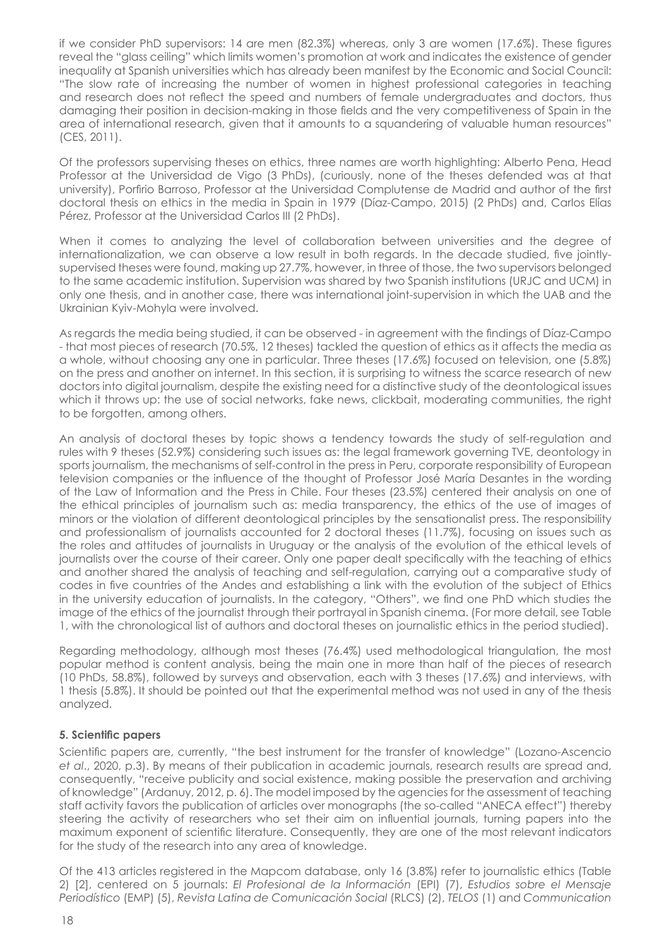if we consider PhD supervisors: 14 are men (82.3%) whereas, only 3 are women (17.6%). These figures reveal the "glass ceiling" which limits women's promotion at work and indicates the existence of gender inequality at Spanish universities which has already been manifest by the Economic and Social Council: "The slow rate of increasing the number of women in highest professional categories in teaching and research does not reflect the speed and numbers of female undergraduates and doctors, thus damaging their position in decision-making in those fields and the very competitiveness of Spain in the area of international research, given that it amounts to a squandering of valuable human resources" (CES, 2011).

Of the professors supervising theses on ethics, three names are worth highlighting: Alberto Pena, Head Professor at the Universidad de Vigo (3 PhDs), (curiously, none of the theses defended was at that university), Porfirio Barroso, Professor at the Universidad Complutense de Madrid and author of the first doctoral thesis on ethics in the media in Spain in 1979 (Díaz-Campo, 2015) (2 PhDs) and, Carlos Elías Pérez, Professor at the Universidad Carlos III (2 PhDs).

When it comes to analyzing the level of collaboration between universities and the degree of internationalization, we can observe a low result in both regards. In the decade studied, five jointlysupervised theses were found, making up 27.7%, however, in three of those, the two supervisors belonged to the same academic institution. Supervision was shared by two Spanish institutions (URJC and UCM) in only one thesis, and in another case, there was international joint-supervision in which the UAB and the Ukrainian Kyiv-Mohyla were involved.

As regards the media being studied, it can be observed - in agreement with the findings of Díaz-Campo - that most pieces of research (70.5%, 12 theses) tackled the question of ethics as it affects the media as a whole, without choosing any one in particular. Three theses (17.6%) focused on television, one (5.8%) on the press and another on internet. In this section, it is surprising to witness the scarce research of new doctors into digital journalism, despite the existing need for a distinctive study of the deontological issues which it throws up: the use of social networks, fake news, clickbait, moderating communities, the right to be forgotten, among others.

An analysis of doctoral theses by topic shows a tendency towards the study of self-regulation and rules with 9 theses (52.9%) considering such issues as: the legal framework governing TVE, deontology in sports journalism, the mechanisms of self-control in the press in Peru, corporate responsibility of European television companies or the influence of the thought of Professor José María Desantes in the wording of the Law of Information and the Press in Chile. Four theses (23.5%) centered their analysis on one of the ethical principles of journalism such as: media transparency, the ethics of the use of images of minors or the violation of different deontological principles by the sensationalist press. The responsibility and professionalism of journalists accounted for 2 doctoral theses (11.7%), focusing on issues such as the roles and attitudes of journalists in Uruguay or the analysis of the evolution of the ethical levels of journalists over the course of their career. Only one paper dealt specifically with the teaching of ethics and another shared the analysis of teaching and self-regulation, carrying out a comparative study of codes in five countries of the Andes and establishing a link with the evolution of the subject of Ethics in the university education of journalists. In the category, "Others", we find one PhD which studies the image of the ethics of the journalist through their portrayal in Spanish cinema. (For more detail, see Table 1, with the chronological list of authors and doctoral theses on journalistic ethics in the period studied).

Regarding methodology, although most theses (76.4%) used methodological triangulation, the most popular method is content analysis, being the main one in more than half of the pieces of research (10 PhDs, 58.8%), followed by surveys and observation, each with 3 theses (17.6%) and interviews, with 1 thesis (5.8%). It should be pointed out that the experimental method was not used in any of the thesis analyzed.

# **5. Scientific papers**

Scientific papers are, currently, "the best instrument for the transfer of knowledge" (Lozano-Ascencio *et al*., 2020, p.3). By means of their publication in academic journals, research results are spread and, consequently, "receive publicity and social existence, making possible the preservation and archiving of knowledge" (Ardanuy, 2012, p. 6). The model imposed by the agencies for the assessment of teaching staff activity favors the publication of articles over monographs (the so-called "ANECA effect") thereby steering the activity of researchers who set their aim on influential journals, turning papers into the maximum exponent of scientific literature. Consequently, they are one of the most relevant indicators for the study of the research into any area of knowledge.

Of the 413 articles registered in the Mapcom database, only 16 (3.8%) refer to journalistic ethics (Table 2) [2], centered on 5 journals: *El Profesional de la Información* (EPI) (7), *Estudios sobre el Mensaje Periodístico* (EMP) (5), *Revista Latina de Comunicación Social* (RLCS) (2), *TELOS* (1) and *Communication*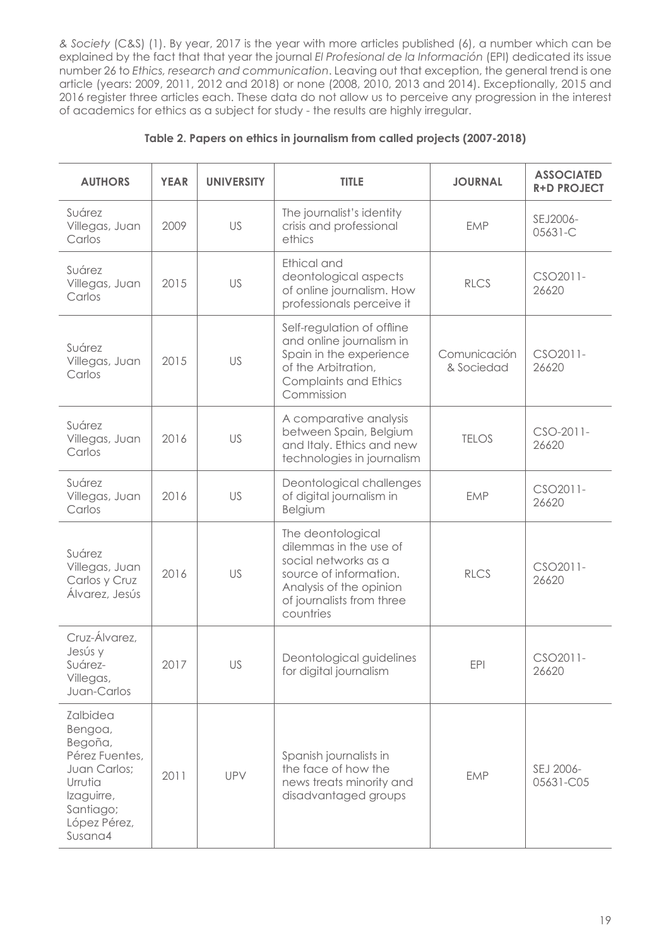*& Society* (C&S) (1). By year, 2017 is the year with more articles published (6), a number which can be explained by the fact that that year the journal *El Profesional de la Información* (EPI) dedicated its issue number 26 to *Ethics, research and communication*. Leaving out that exception, the general trend is one article (years: 2009, 2011, 2012 and 2018) or none (2008, 2010, 2013 and 2014). Exceptionally, 2015 and 2016 register three articles each. These data do not allow us to perceive any progression in the interest of academics for ethics as a subject for study - the results are highly irregular.

| <b>AUTHORS</b>                                                                                                                    | <b>YEAR</b> | <b>UNIVERSITY</b> | <b>TITLE</b>                                                                                                                                                       | <b>JOURNAL</b>             | <b>ASSOCIATED</b><br><b>R+D PROJECT</b> |
|-----------------------------------------------------------------------------------------------------------------------------------|-------------|-------------------|--------------------------------------------------------------------------------------------------------------------------------------------------------------------|----------------------------|-----------------------------------------|
| Suárez<br>Villegas, Juan<br>Carlos                                                                                                | 2009        | <b>US</b>         | The journalist's identity<br>crisis and professional<br>ethics                                                                                                     | <b>EMP</b>                 | SEJ2006-<br>05631-C                     |
| Suárez<br>Villegas, Juan<br>Carlos                                                                                                | 2015        | US                | Ethical and<br>deontological aspects<br>of online journalism. How<br>professionals perceive it                                                                     | <b>RLCS</b>                | CSO2011-<br>26620                       |
| Suárez<br>Villegas, Juan<br>Carlos                                                                                                | 2015        | US                | Self-regulation of offline<br>and online journalism in<br>Spain in the experience<br>of the Arbitration.<br><b>Complaints and Ethics</b><br>Commission             | Comunicación<br>& Sociedad | CSO2011-<br>26620                       |
| Suárez<br>Villegas, Juan<br>Carlos                                                                                                | 2016        | <b>US</b>         | A comparative analysis<br>between Spain, Belgium<br>and Italy. Ethics and new<br>technologies in journalism                                                        | <b>TELOS</b>               | $CSO-2011-$<br>26620                    |
| Suárez<br>Villegas, Juan<br>Carlos                                                                                                | 2016        | US                | Deontological challenges<br>of digital journalism in<br>Belgium                                                                                                    | <b>FMP</b>                 | CSO2011-<br>26620                       |
| Suárez<br>Villegas, Juan<br>Carlos y Cruz<br>Álvarez, Jesús                                                                       | 2016        | US                | The deontological<br>dilemmas in the use of<br>social networks as a<br>source of information.<br>Analysis of the opinion<br>of journalists from three<br>countries | <b>RLCS</b>                | CSO2011-<br>26620                       |
| Cruz-Álvarez,<br>Jesús y<br>Suárez-<br>Villegas,<br>Juan-Carlos                                                                   | 2017        | US                | Deontological guidelines<br>for digital journalism                                                                                                                 | <b>EPI</b>                 | CSO <sub>2011</sub> -<br>26620          |
| Zalbidea<br>Bengoa,<br>Begoña,<br>Pérez Fuentes,<br>Juan Carlos;<br>Urrutia<br>Izaguirre,<br>Santiago;<br>López Pérez,<br>Susana4 | 2011        | UPV               | Spanish journalists in<br>the face of how the<br>news treats minority and<br>disadvantaged groups                                                                  | <b>EMP</b>                 | SEJ 2006-<br>05631-C05                  |

# **Table 2. Papers on ethics in journalism from called projects (2007-2018)**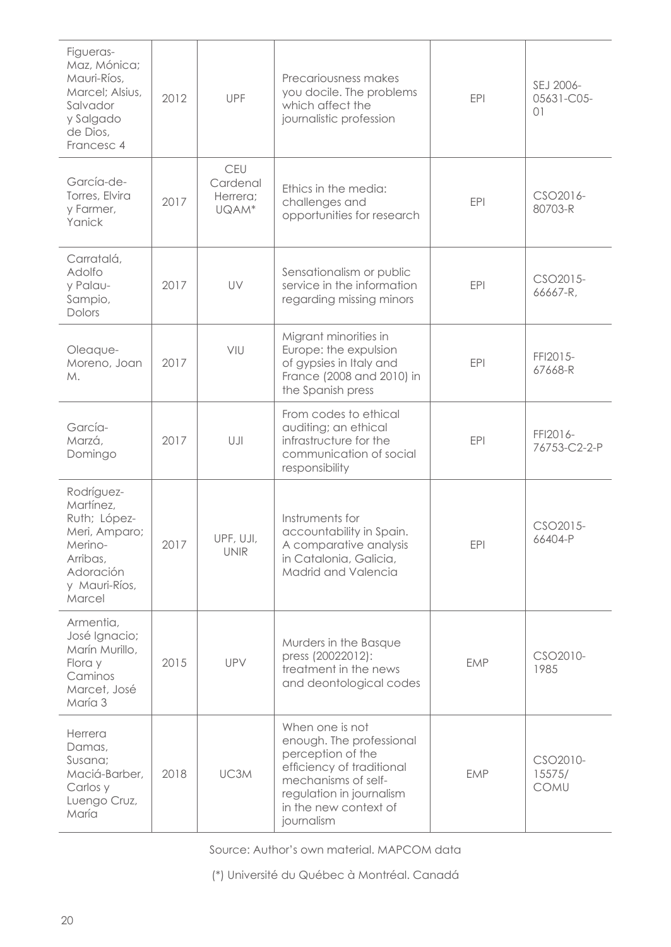| Figueras-<br>Maz, Mónica;<br>Mauri-Ríos.<br>Marcel: Alsius,<br>Salvador<br>y Salgado<br>de Dios,<br>Francesc 4          | 2012 | <b>UPF</b>                                  | Precariousness makes<br>you docile. The problems<br>which affect the<br>journalistic profession                                                                                         | <b>EPI</b> | SEJ 2006-<br>05631-C05-<br>01     |
|-------------------------------------------------------------------------------------------------------------------------|------|---------------------------------------------|-----------------------------------------------------------------------------------------------------------------------------------------------------------------------------------------|------------|-----------------------------------|
| García-de-<br>Torres, Elvira<br>y Farmer,<br>Yanick                                                                     | 2017 | <b>CEU</b><br>Cardenal<br>Herrera;<br>UQAM* | Ethics in the media:<br>challenges and<br>opportunities for research                                                                                                                    | <b>EPI</b> | CSO2016-<br>80703-R               |
| Carratalá,<br>Adolfo<br>y Palau-<br>Sampio,<br>Dolors                                                                   | 2017 | UV                                          | Sensationalism or public<br>service in the information<br>regarding missing minors                                                                                                      | <b>EPI</b> | CSO2015-<br>66667-R,              |
| Oleaque-<br>Moreno, Joan<br>М.                                                                                          | 2017 | VIU                                         | Migrant minorities in<br>Europe: the expulsion<br>of gypsies in Italy and<br>France (2008 and 2010) in<br>the Spanish press                                                             | <b>EPI</b> | FFI2015-<br>67668-R               |
| García-<br>Marzá,<br>Domingo                                                                                            | 2017 | UJI                                         | From codes to ethical<br>auditing; an ethical<br>infrastructure for the<br>communication of social<br>responsibility                                                                    | <b>EPI</b> | FFI2016-<br>76753-C2-2-P          |
| Rodríguez-<br>Martínez,<br>Ruth; López-<br>Meri, Amparo;<br>Merino-<br>Arribas,<br>Adoración<br>y Mauri-Ríos,<br>Marcel | 2017 | UPF, UJI,<br><b>UNIR</b>                    | Instruments for<br>accountability in Spain.<br>A comparative analysis<br>in Catalonia, Galicia,<br>Madrid and Valencia                                                                  | <b>EPI</b> | CSO2015-<br>66404-P               |
| Armentia,<br>José Ignacio;<br>Marín Murillo,<br>Flora y<br>Caminos<br>Marcet, José<br>María 3                           | 2015 | UPV                                         | Murders in the Basque<br>press (20022012):<br>treatment in the news<br>and deontological codes                                                                                          | EMP        | CSO2010-<br>1985                  |
| Herrera<br>Damas,<br>Susana;<br>Maciá-Barber,<br>Carlos y<br>Luengo Cruz,<br>María                                      | 2018 | UC3M                                        | When one is not<br>enough. The professional<br>perception of the<br>efficiency of traditional<br>mechanisms of self-<br>regulation in journalism<br>in the new context of<br>journalism | <b>EMP</b> | CSO2010-<br>15575/<br><b>COMU</b> |

Source: Author's own material. MAPCOM data

(\*) Université du Québec à Montréal. Canadá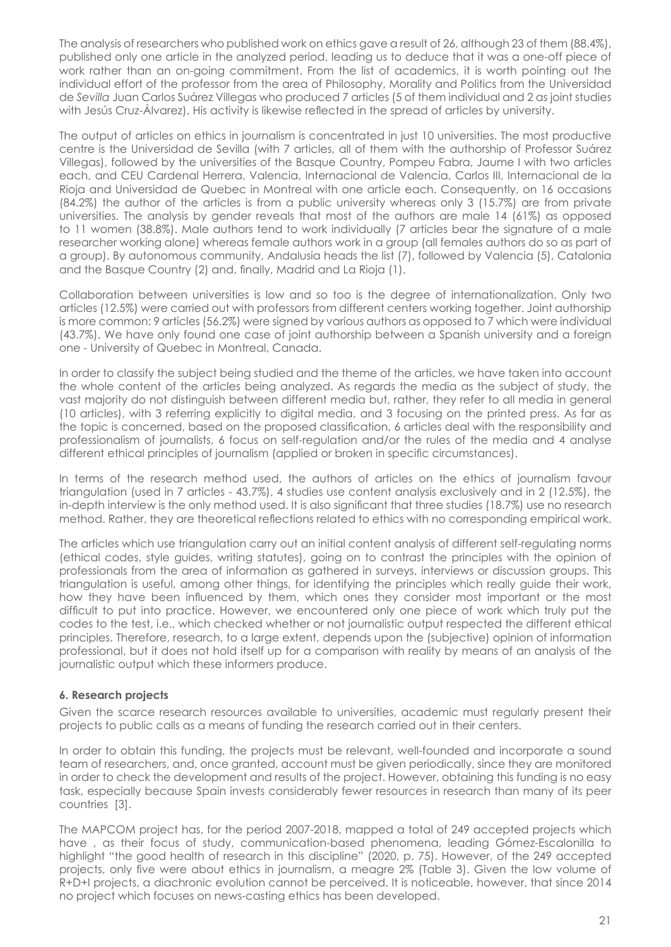The analysis of researchers who published work on ethics gave a result of 26, although 23 of them (88.4%), published only one article in the analyzed period, leading us to deduce that it was a one-off piece of work rather than an on-going commitment. From the list of academics, it is worth pointing out the individual effort of the professor from the area of Philosophy, Morality and Politics from the Universidad de *Sevilla* Juan Carlos Suárez Villegas who produced 7 articles (5 of them individual and 2 as joint studies with Jesús Cruz-Álvarez). His activity is likewise reflected in the spread of articles by university.

The output of articles on ethics in journalism is concentrated in just 10 universities. The most productive centre is the Universidad de Sevilla (with 7 articles, all of them with the authorship of Professor Suárez Villegas), followed by the universities of the Basque Country, Pompeu Fabra, Jaume I with two articles each, and CEU Cardenal Herrera, Valencia, Internacional de Valencia, Carlos III, Internacional de la Rioja and Universidad de Quebec in Montreal with one article each. Consequently, on 16 occasions (84.2%) the author of the articles is from a public university whereas only 3 (15.7%) are from private universities. The analysis by gender reveals that most of the authors are male 14 (61%) as opposed to 11 women (38.8%). Male authors tend to work individually (7 articles bear the signature of a male researcher working alone) whereas female authors work in a group (all females authors do so as part of a group). By autonomous community, Andalusia heads the list (7), followed by Valencia (5), Catalonia and the Basque Country (2) and, finally, Madrid and La Rioja (1).

Collaboration between universities is low and so too is the degree of internationalization. Only two articles (12.5%) were carried out with professors from different centers working together. Joint authorship is more common: 9 articles (56.2%) were signed by various authors as opposed to 7 which were individual (43.7%). We have only found one case of joint authorship between a Spanish university and a foreign one - University of Quebec in Montreal, Canada.

In order to classify the subject being studied and the theme of the articles, we have taken into account the whole content of the articles being analyzed. As regards the media as the subject of study, the vast majority do not distinguish between different media but, rather, they refer to all media in general (10 articles), with 3 referring explicitly to digital media, and 3 focusing on the printed press. As far as the topic is concerned, based on the proposed classification, 6 articles deal with the responsibility and professionalism of journalists, 6 focus on self-regulation and/or the rules of the media and 4 analyse different ethical principles of journalism (applied or broken in specific circumstances).

In terms of the research method used, the authors of articles on the ethics of journalism favour triangulation (used in 7 articles - 43.7%), 4 studies use content analysis exclusively and in 2 (12.5%), the in-depth interview is the only method used. It is also significant that three studies (18.7%) use no research method. Rather, they are theoretical reflections related to ethics with no corresponding empirical work.

The articles which use triangulation carry out an initial content analysis of different self-regulating norms (ethical codes, style guides, writing statutes), going on to contrast the principles with the opinion of professionals from the area of information as gathered in surveys, interviews or discussion groups. This triangulation is useful, among other things, for identifying the principles which really guide their work, how they have been influenced by them, which ones they consider most important or the most difficult to put into practice. However, we encountered only one piece of work which truly put the codes to the test, i.e., which checked whether or not journalistic output respected the different ethical principles. Therefore, research, to a large extent, depends upon the (subjective) opinion of information professional, but it does not hold itself up for a comparison with reality by means of an analysis of the journalistic output which these informers produce.

# **6. Research projects**

Given the scarce research resources available to universities, academic must regularly present their projects to public calls as a means of funding the research carried out in their centers.

In order to obtain this funding, the projects must be relevant, well-founded and incorporate a sound team of researchers, and, once granted, account must be given periodically, since they are monitored in order to check the development and results of the project. However, obtaining this funding is no easy task, especially because Spain invests considerably fewer resources in research than many of its peer countries [3].

The MAPCOM project has, for the period 2007-2018, mapped a total of 249 accepted projects which have , as their focus of study, communication-based phenomena, leading Gómez-Escalonilla to highlight "the good health of research in this discipline" (2020, p. 75). However, of the 249 accepted projects, only five were about ethics in journalism, a meagre 2% (Table 3). Given the low volume of R+D+I projects, a diachronic evolution cannot be perceived. It is noticeable, however, that since 2014 no project which focuses on news-casting ethics has been developed.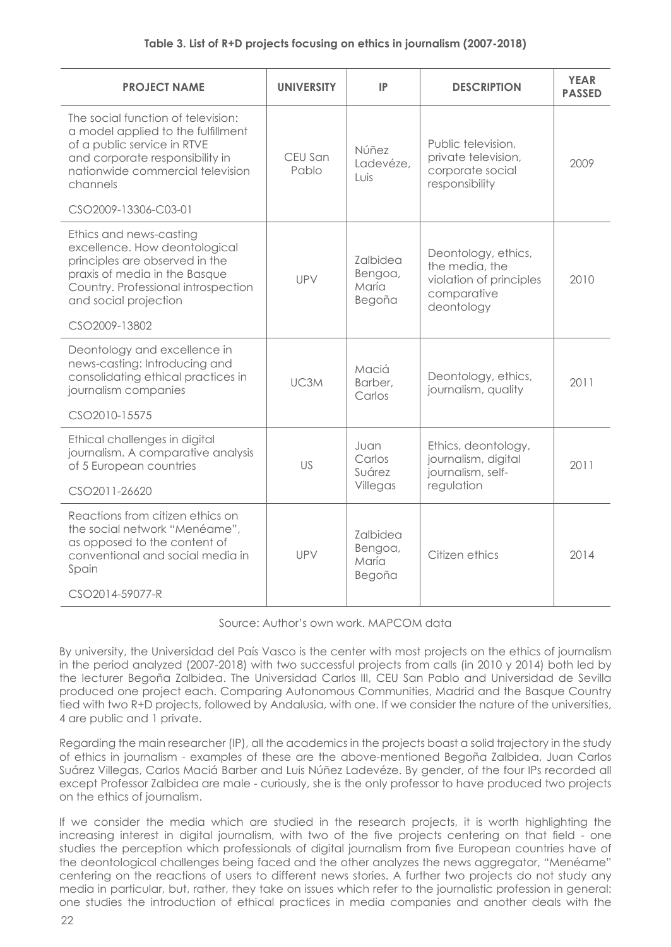| <b>PROJECT NAME</b>                                                                                                                                                                         | <b>UNIVERSITY</b> | IP                                     | <b>DESCRIPTION</b>                                                                            | <b>YEAR</b><br><b>PASSED</b> |
|---------------------------------------------------------------------------------------------------------------------------------------------------------------------------------------------|-------------------|----------------------------------------|-----------------------------------------------------------------------------------------------|------------------------------|
| The social function of television:<br>a model applied to the fulfillment<br>of a public service in RTVE<br>and corporate responsibility in<br>nationwide commercial television<br>channels  | CEU San<br>Pablo  | Núñez<br>Ladevéze.<br>Luis             | Public television,<br>private television,<br>corporate social<br>responsibility               | 2009                         |
| CSO2009-13306-C03-01                                                                                                                                                                        |                   |                                        |                                                                                               |                              |
| Ethics and news-casting<br>excellence. How deontological<br>principles are observed in the<br>praxis of media in the Basque<br>Country. Professional introspection<br>and social projection | UPV               | Zalbidea<br>Bengoa,<br>María<br>Begoña | Deontology, ethics,<br>the media, the<br>violation of principles<br>comparative<br>deontology | 2010                         |
| CSO2009-13802                                                                                                                                                                               |                   |                                        |                                                                                               |                              |
| Deontology and excellence in<br>news-casting: Introducing and<br>consolidating ethical practices in<br>journalism companies                                                                 | UC <sub>3</sub> M | Maciá<br>Barber,<br>Carlos             | Deontology, ethics,<br>journalism, quality                                                    | 2011                         |
| CSO2010-15575                                                                                                                                                                               |                   |                                        |                                                                                               |                              |
| Ethical challenges in digital<br>journalism. A comparative analysis<br>of 5 European countries                                                                                              | US                | Juan<br>Carlos<br>Suárez               | Ethics, deontology,<br>journalism, digital<br>iournalism, self-                               | 2011                         |
| CSO2011-26620                                                                                                                                                                               |                   | Villegas                               | regulation                                                                                    |                              |
| Reactions from citizen ethics on<br>the social network "Menéame".<br>as opposed to the content of<br>conventional and social media in<br>Spain<br>CSO2014-59077-R                           | <b>UPV</b>        | Zalbidea<br>Bengoa,<br>María<br>Begoña | Citizen ethics                                                                                | 2014                         |
|                                                                                                                                                                                             |                   |                                        |                                                                                               |                              |

Source: Author's own work. MAPCOM data

By university, the Universidad del País Vasco is the center with most projects on the ethics of journalism in the period analyzed (2007-2018) with two successful projects from calls (in 2010 y 2014) both led by the lecturer Begoña Zalbidea. The Universidad Carlos III, CEU San Pablo and Universidad de Sevilla produced one project each. Comparing Autonomous Communities, Madrid and the Basque Country tied with two R+D projects, followed by Andalusia, with one. If we consider the nature of the universities, 4 are public and 1 private.

Regarding the main researcher (IP), all the academics in the projects boast a solid trajectory in the study of ethics in journalism - examples of these are the above-mentioned Begoña Zalbidea, Juan Carlos Suárez Villegas, Carlos Maciá Barber and Luis Núñez Ladevéze. By gender, of the four IPs recorded all except Professor Zalbidea are male - curiously, she is the only professor to have produced two projects on the ethics of journalism.

If we consider the media which are studied in the research projects, it is worth highlighting the increasing interest in digital journalism, with two of the five projects centering on that field - one studies the perception which professionals of digital journalism from five European countries have of the deontological challenges being faced and the other analyzes the news aggregator, "Menéame" centering on the reactions of users to different news stories. A further two projects do not study any media in particular, but, rather, they take on issues which refer to the journalistic profession in general: one studies the introduction of ethical practices in media companies and another deals with the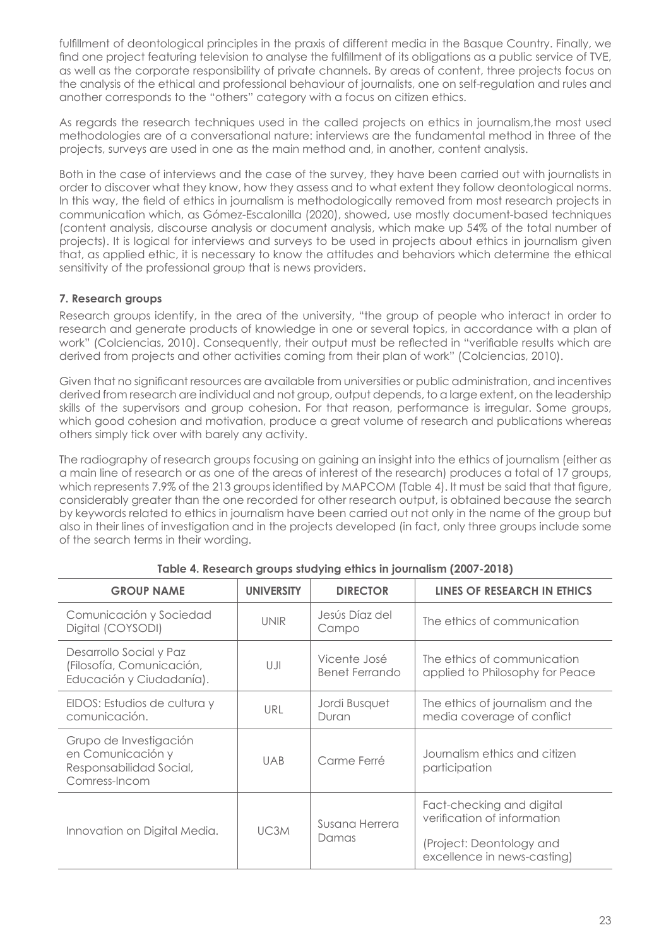fulfillment of deontological principles in the praxis of different media in the Basque Country. Finally, we find one project featuring television to analyse the fulfillment of its obligations as a public service of TVE, as well as the corporate responsibility of private channels. By areas of content, three projects focus on the analysis of the ethical and professional behaviour of journalists, one on self-regulation and rules and another corresponds to the "others" category with a focus on citizen ethics.

As regards the research techniques used in the called projects on ethics in journalism,the most used methodologies are of a conversational nature: interviews are the fundamental method in three of the projects, surveys are used in one as the main method and, in another, content analysis.

Both in the case of interviews and the case of the survey, they have been carried out with journalists in order to discover what they know, how they assess and to what extent they follow deontological norms. In this way, the field of ethics in journalism is methodologically removed from most research projects in communication which, as Gómez-Escalonilla (2020), showed, use mostly document-based techniques (content analysis, discourse analysis or document analysis, which make up 54% of the total number of projects). It is logical for interviews and surveys to be used in projects about ethics in journalism given that, as applied ethic, it is necessary to know the attitudes and behaviors which determine the ethical sensitivity of the professional group that is news providers.

# **7. Research groups**

Research groups identify, in the area of the university, "the group of people who interact in order to research and generate products of knowledge in one or several topics, in accordance with a plan of work" (Colciencias, 2010). Consequently, their output must be reflected in "verifiable results which are derived from projects and other activities coming from their plan of work" (Colciencias, 2010).

Given that no significant resources are available from universities or public administration, and incentives derived from research are individual and not group, output depends, to a large extent, on the leadership skills of the supervisors and group cohesion. For that reason, performance is irregular. Some groups, which good cohesion and motivation, produce a great volume of research and publications whereas others simply tick over with barely any activity.

The radiography of research groups focusing on gaining an insight into the ethics of journalism (either as a main line of research or as one of the areas of interest of the research) produces a total of 17 groups, which represents 7.9% of the 213 groups identified by MAPCOM (Table 4). It must be said that that figure, considerably greater than the one recorded for other research output, is obtained because the search by keywords related to ethics in journalism have been carried out not only in the name of the group but also in their lines of investigation and in the projects developed (in fact, only three groups include some of the search terms in their wording.

| <b>GROUP NAME</b>                                                                       | <b>UNIVERSITY</b> | <b>DIRECTOR</b>                | LINES OF RESEARCH IN ETHICS                                    |
|-----------------------------------------------------------------------------------------|-------------------|--------------------------------|----------------------------------------------------------------|
| Comunicación y Sociedad<br>Digital (COYSODI)                                            | <b>UNIR</b>       | Jesús Díaz del<br>Campo        | The ethics of communication                                    |
| Desarrollo Social y Paz<br>(Filosofía, Comunicación,<br>Educación y Ciudadanía).        | UJI               | Vicente José<br>Benet Ferrando | The ethics of communication<br>applied to Philosophy for Peace |
| EIDOS: Estudios de cultura y<br>comunicación.                                           | URL               | Jordi Busquet<br>Duran         | The ethics of journalism and the<br>media coverage of conflict |
| Grupo de Investigación<br>en Comunicación y<br>Responsabilidad Social,<br>Comress-Incom | <b>UAB</b>        | Carme Ferré                    | Journalism ethics and citizen<br>participation                 |
| Innovation on Digital Media.                                                            | UC <sub>3</sub> M | Susana Herrera<br>Damas        | Fact-checking and digital<br>verification of information       |
|                                                                                         |                   |                                | (Project: Deontology and<br>excellence in news-casting)        |

**Table 4. Research groups studying ethics in journalism (2007-2018)**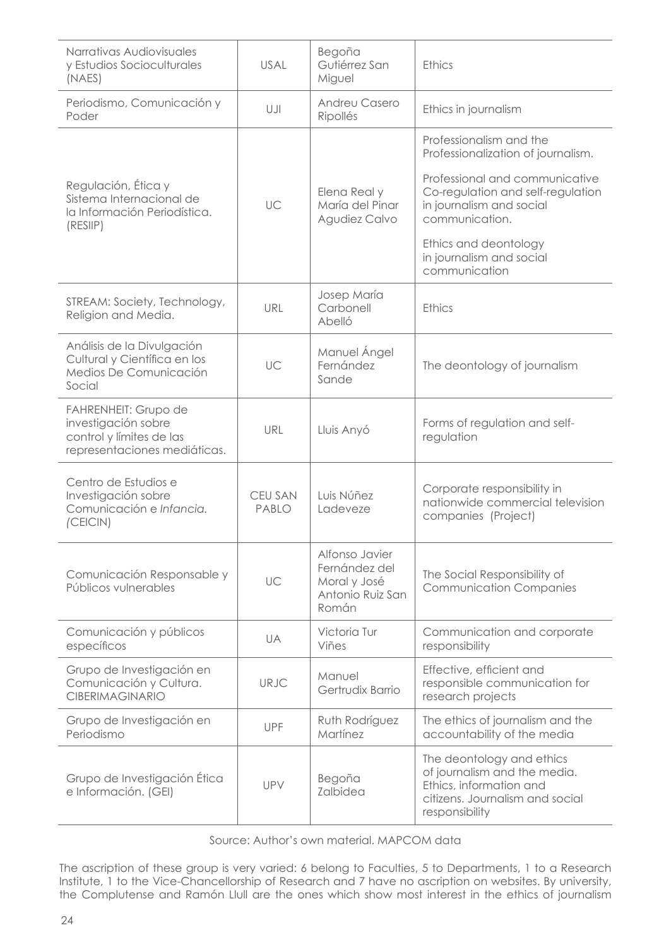| Narrativas Audiovisuales<br>y Estudios Socioculturales<br>(NAES)                                               | USAL                           | Begoña<br>Gutiérrez San<br>Miguel                                            | <b>Ethics</b>                                                                                                                             |
|----------------------------------------------------------------------------------------------------------------|--------------------------------|------------------------------------------------------------------------------|-------------------------------------------------------------------------------------------------------------------------------------------|
| Periodismo, Comunicación y<br>Poder                                                                            | UJI                            | Andreu Casero<br>Ripollés                                                    | Ethics in journalism                                                                                                                      |
|                                                                                                                |                                |                                                                              | Professionalism and the<br>Professionalization of journalism.                                                                             |
| Regulación, Ética y<br>Sistema Internacional de<br>la Información Periodística.<br>(RESIIP)                    | UC                             | Elena Real y<br>María del Pinar<br>Agudiez Calvo                             | Professional and communicative<br>Co-regulation and self-regulation<br>in journalism and social<br>communication.                         |
|                                                                                                                |                                |                                                                              | Ethics and deontology<br>in journalism and social<br>communication                                                                        |
| STREAM: Society, Technology,<br>Religion and Media.                                                            | URL                            | Josep María<br>Carbonell<br>Abelló                                           | <b>Ethics</b>                                                                                                                             |
| Análisis de la Divulgación<br>Cultural y Científica en los<br>Medios De Comunicación<br>Social                 | UC                             | Manuel Ángel<br>Fernández<br>Sande                                           | The deontology of journalism                                                                                                              |
| <b>FAHRENHEIT: Grupo de</b><br>investigación sobre<br>control y límites de las<br>representaciones mediáticas. | URL                            | Lluis Anyó                                                                   | Forms of regulation and self-<br>regulation                                                                                               |
| Centro de Estudios e<br>Investigación sobre<br>Comunicación e Infancia.<br>(CEICIN)                            | <b>CEU SAN</b><br><b>PABLO</b> | Luis Núñez<br>Ladeveze                                                       | Corporate responsibility in<br>nationwide commercial television<br>companies (Project)                                                    |
| Comunicación Responsable y<br>Públicos vulnerables                                                             | UC                             | Alfonso Javier<br>Fernández del<br>Moral y José<br>Antonio Ruiz San<br>Román | The Social Responsibility of<br><b>Communication Companies</b>                                                                            |
| Comunicación y públicos<br>específicos                                                                         | UA                             | Victoria Tur<br>Viñes                                                        | Communication and corporate<br>responsibility                                                                                             |
| Grupo de Investigación en<br>Comunicación y Cultura.<br><b>CIBERIMAGINARIO</b>                                 | URJC                           | Manuel<br>Gertrudix Barrio                                                   | Effective, efficient and<br>responsible communication for<br>research projects                                                            |
| Grupo de Investigación en<br>Periodismo                                                                        | <b>UPF</b>                     | Ruth Rodríguez<br>Martínez                                                   | The ethics of journalism and the<br>accountability of the media                                                                           |
| Grupo de Investigación Ética<br>e Información. (GEI)                                                           | UPV                            | Begoña<br>Zalbidea                                                           | The deontology and ethics<br>of journalism and the media.<br>Ethics, information and<br>citizens. Journalism and social<br>responsibility |

Source: Author's own material. MAPCOM data

The ascription of these group is very varied: 6 belong to Faculties, 5 to Departments, 1 to a Research Institute, 1 to the Vice-Chancellorship of Research and 7 have no ascription on websites. By university, the Complutense and Ramón Llull are the ones which show most interest in the ethics of journalism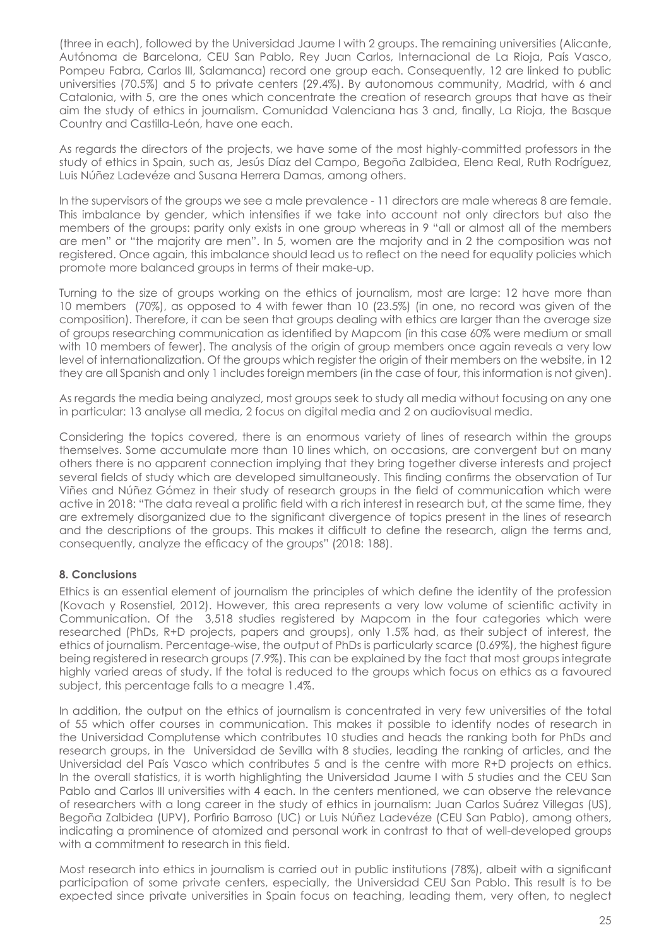(three in each), followed by the Universidad Jaume I with 2 groups. The remaining universities (Alicante, Autónoma de Barcelona, CEU San Pablo, Rey Juan Carlos, Internacional de La Rioja, País Vasco, Pompeu Fabra, Carlos III, Salamanca) record one group each. Consequently, 12 are linked to public universities (70.5%) and 5 to private centers (29.4%). By autonomous community, Madrid, with 6 and Catalonia, with 5, are the ones which concentrate the creation of research groups that have as their aim the study of ethics in journalism. Comunidad Valenciana has 3 and, finally, La Rioja, the Basque Country and Castilla-León, have one each.

As regards the directors of the projects, we have some of the most highly-committed professors in the study of ethics in Spain, such as, Jesús Díaz del Campo, Begoña Zalbidea, Elena Real, Ruth Rodríguez, Luis Núñez Ladevéze and Susana Herrera Damas, among others.

In the supervisors of the groups we see a male prevalence - 11 directors are male whereas 8 are female. This imbalance by gender, which intensifies if we take into account not only directors but also the members of the groups: parity only exists in one group whereas in 9 "all or almost all of the members are men" or "the majority are men". In 5, women are the majority and in 2 the composition was not registered. Once again, this imbalance should lead us to reflect on the need for equality policies which promote more balanced groups in terms of their make-up.

Turning to the size of groups working on the ethics of journalism, most are large: 12 have more than 10 members (70%), as opposed to 4 with fewer than 10 (23.5%) (in one, no record was given of the composition). Therefore, it can be seen that groups dealing with ethics are larger than the average size of groups researching communication as identified by Mapcom (in this case 60% were medium or small with 10 members of fewer). The analysis of the origin of group members once again reveals a very low level of internationalization. Of the groups which register the origin of their members on the website, in 12 they are all Spanish and only 1 includes foreign members (in the case of four, this information is not given).

As regards the media being analyzed, most groups seek to study all media without focusing on any one in particular: 13 analyse all media, 2 focus on digital media and 2 on audiovisual media.

Considering the topics covered, there is an enormous variety of lines of research within the groups themselves. Some accumulate more than 10 lines which, on occasions, are convergent but on many others there is no apparent connection implying that they bring together diverse interests and project several fields of study which are developed simultaneously. This finding confirms the observation of Tur Viñes and Núñez Gómez in their study of research groups in the field of communication which were active in 2018: "The data reveal a prolific field with a rich interest in research but, at the same time, they are extremely disorganized due to the significant divergence of topics present in the lines of research and the descriptions of the groups. This makes it difficult to define the research, align the terms and, consequently, analyze the efficacy of the groups" (2018: 188).

# **8. Conclusions**

Ethics is an essential element of journalism the principles of which define the identity of the profession (Kovach y Rosenstiel, 2012). However, this area represents a very low volume of scientific activity in Communication. Of the 3,518 studies registered by Mapcom in the four categories which were researched (PhDs, R+D projects, papers and groups), only 1.5% had, as their subject of interest, the ethics of journalism. Percentage-wise, the output of PhDs is particularly scarce (0.69%), the highest figure being registered in research groups (7.9%). This can be explained by the fact that most groups integrate highly varied areas of study. If the total is reduced to the groups which focus on ethics as a favoured subject, this percentage falls to a meagre 1.4%.

In addition, the output on the ethics of journalism is concentrated in very few universities of the total of 55 which offer courses in communication. This makes it possible to identify nodes of research in the Universidad Complutense which contributes 10 studies and heads the ranking both for PhDs and research groups, in the Universidad de Sevilla with 8 studies, leading the ranking of articles, and the Universidad del País Vasco which contributes 5 and is the centre with more R+D projects on ethics. In the overall statistics, it is worth highlighting the Universidad Jaume I with 5 studies and the CEU San Pablo and Carlos III universities with 4 each. In the centers mentioned, we can observe the relevance of researchers with a long career in the study of ethics in journalism: Juan Carlos Suárez Villegas (US), Begoña Zalbidea (UPV), Porfirio Barroso (UC) or Luis Núñez Ladevéze (CEU San Pablo), among others, indicating a prominence of atomized and personal work in contrast to that of well-developed groups with a commitment to research in this field.

Most research into ethics in journalism is carried out in public institutions (78%), albeit with a significant participation of some private centers, especially, the Universidad CEU San Pablo. This result is to be expected since private universities in Spain focus on teaching, leading them, very often, to neglect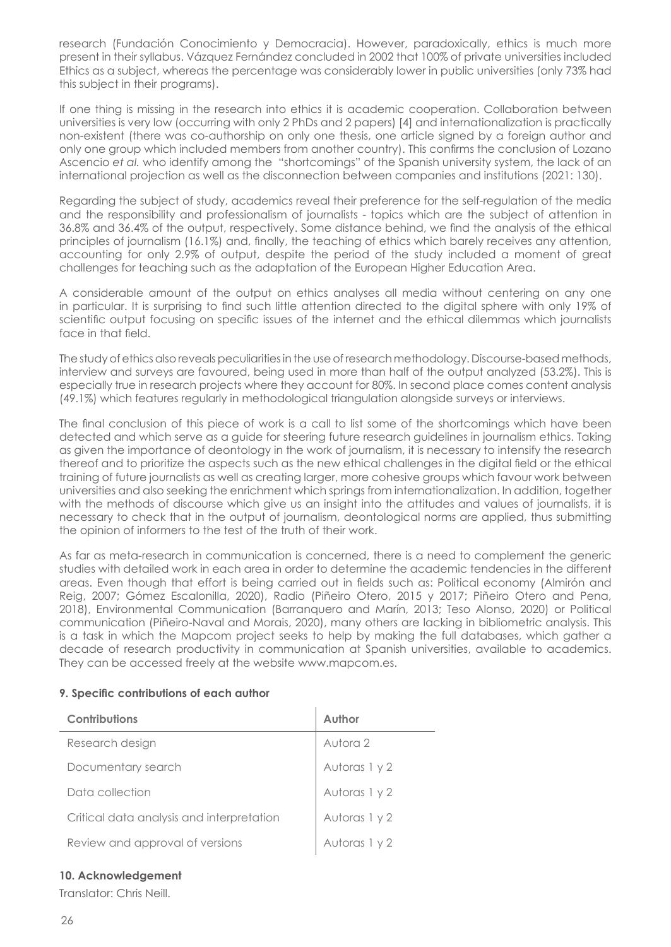research (Fundación Conocimiento y Democracia). However, paradoxically, ethics is much more present in their syllabus. Vázquez Fernández concluded in 2002 that 100% of private universities included Ethics as a subject, whereas the percentage was considerably lower in public universities (only 73% had this subject in their programs).

If one thing is missing in the research into ethics it is academic cooperation. Collaboration between universities is very low (occurring with only 2 PhDs and 2 papers) [4] and internationalization is practically non-existent (there was co-authorship on only one thesis, one article signed by a foreign author and only one group which included members from another country). This confirms the conclusion of Lozano Ascencio *et al.* who identify among the "shortcomings" of the Spanish university system, the lack of an international projection as well as the disconnection between companies and institutions (2021: 130).

Regarding the subject of study, academics reveal their preference for the self-regulation of the media and the responsibility and professionalism of journalists - topics which are the subject of attention in 36.8% and 36.4% of the output, respectively. Some distance behind, we find the analysis of the ethical principles of journalism (16.1%) and, finally, the teaching of ethics which barely receives any attention, accounting for only 2.9% of output, despite the period of the study included a moment of great challenges for teaching such as the adaptation of the European Higher Education Area.

A considerable amount of the output on ethics analyses all media without centering on any one in particular. It is surprising to find such little attention directed to the digital sphere with only 19% of scientific output focusing on specific issues of the internet and the ethical dilemmas which journalists face in that field.

The study of ethics also reveals peculiarities in the use of research methodology. Discourse-based methods, interview and surveys are favoured, being used in more than half of the output analyzed (53.2%). This is especially true in research projects where they account for 80%. In second place comes content analysis (49.1%) which features regularly in methodological triangulation alongside surveys or interviews.

The final conclusion of this piece of work is a call to list some of the shortcomings which have been detected and which serve as a guide for steering future research guidelines in journalism ethics. Taking as given the importance of deontology in the work of journalism, it is necessary to intensify the research thereof and to prioritize the aspects such as the new ethical challenges in the digital field or the ethical training of future journalists as well as creating larger, more cohesive groups which favour work between universities and also seeking the enrichment which springs from internationalization. In addition, together with the methods of discourse which give us an insight into the attitudes and values of journalists, it is necessary to check that in the output of journalism, deontological norms are applied, thus submitting the opinion of informers to the test of the truth of their work.

As far as meta-research in communication is concerned, there is a need to complement the generic studies with detailed work in each area in order to determine the academic tendencies in the different areas. Even though that effort is being carried out in fields such as: Political economy (Almirón and Reig, 2007; Gómez Escalonilla, 2020), Radio (Piñeiro Otero, 2015 y 2017; Piñeiro Otero and Pena, 2018), Environmental Communication (Barranquero and Marín, 2013; Teso Alonso, 2020) or Political communication (Piñeiro-Naval and Morais, 2020), many others are lacking in bibliometric analysis. This is a task in which the Mapcom project seeks to help by making the full databases, which gather a decade of research productivity in communication at Spanish universities, available to academics. They can be accessed freely at the website www.mapcom.es.

# **9. Specific contributions of each author**

| Contributions                             | Author        |
|-------------------------------------------|---------------|
| Research design                           | Autora 2      |
| Documentary search                        | Autoras 1 y 2 |
| Data collection                           | Autoras 1 y 2 |
| Critical data analysis and interpretation | Autoras 1 y 2 |
| Review and approval of versions           | Autoras 1 y 2 |

#### **10. Acknowledgement**

Translator: Chris Neill.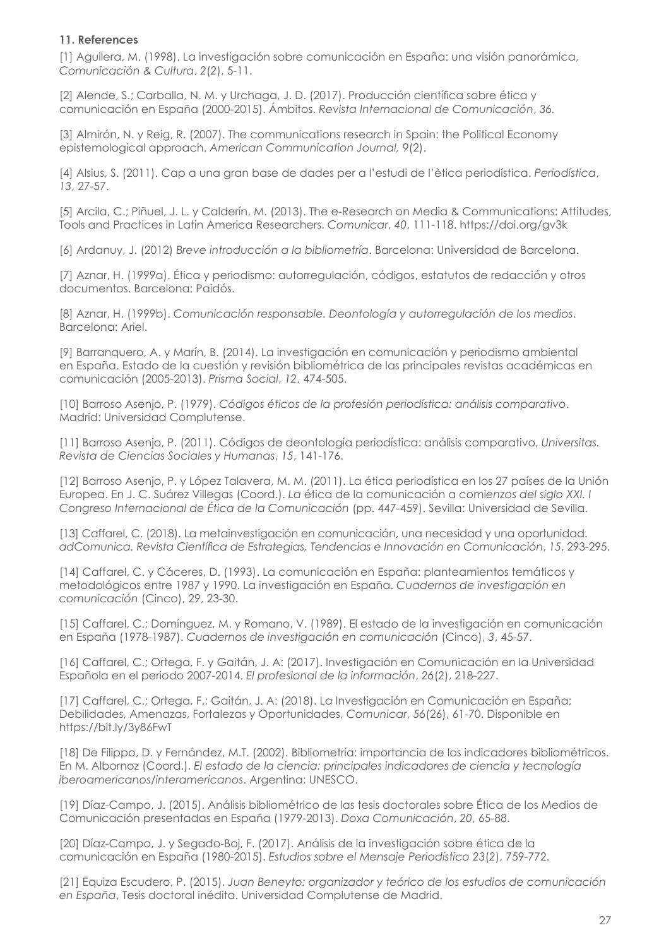# **11. References**

[1] Aguilera, M. (1998). La investigación sobre comunicación en España: una visión panorámica, *Comunicación & Cultura*, *2*(*2*), 5-11.

[2] Alende, S.; Carballa, N. M. y Urchaga, J. D. (2017). Producción científica sobre ética y comunicación en España (2000-2015). Ámbitos. *Revista Internacional de Comunicación*, *36.*

[3] Almirón, N. y Reig, R. (2007). The communications research in Spain: the Political Economy epistemological approach. *American Communication Journal, 9*(2).

[4] Alsius, S. (2011). Cap a una gran base de dades per a l'estudi de l'ètica periodística. *Periodística*, *13*, 27-57.

[5] Arcila, C.; Piñuel, J. L. y Calderín, M. (2013). The e-Research on Media & Communications: Attitudes, Tools and Practices in Latin America Researchers. *Comunicar*, *40*, 111-118. https://doi.org/gv3k

[6] Ardanuy, J. (2012) *Breve introducción a la bibliometría*. Barcelona: Universidad de Barcelona.

[7] Aznar, H. (1999a). Ética y periodismo: autorregulación, códigos, estatutos de redacción y otros documentos. Barcelona: Paidós.

[8] Aznar, H. (1999b). *Comunicación responsable. Deontología y autorregulación de los medios*. Barcelona: Ariel.

[9] Barranquero, A. y Marín, B. (2014). La investigación en comunicación y periodismo ambiental en España. Estado de la cuestión y revisión bibliométrica de las principales revistas académicas en comunicación (2005-2013). *Prisma Social*, *12*, 474-505.

[10] Barroso Asenjo, P. (1979). *Códigos éticos de la profesión periodística: análisis comparativo*. Madrid: Universidad Complutense.

[11] Barroso Asenjo, P. (2011). Códigos de deontología periodística: análisis comparativo, *Universitas. Revista de Ciencias Sociales y Humanas*, *15*, 141-176.

[12] Barroso Asenjo, P. y López Talavera, M. M. (2011). La ética periodística en los 27 países de la Unión Europea. En J. C. Suárez Villegas (Coord.). *La* ética de la comunicación a comi*enzos del siglo XXI. I Congreso Internacional de Ética de la Comunicación* (pp. 447-459). Sevilla: Universidad de Sevilla.

[13] Caffarel, C. (2018). La metainvestigación en comunicación, una necesidad y una oportunidad. *adComunica. Revista Científica de Estrategias, Tendencias e Innovación en Comunicación*, *15*, 293-295.

[14] Caffarel, C. y Cáceres, D. (1993). La comunicación en España: planteamientos temáticos y metodológicos entre 1987 y 1990. La investigación en España. *Cuadernos de investigación en comunicación* (Cinco), 29, 23-30.

[15] Caffarel, C.; Domínguez, M. y Romano, V. (1989). El estado de la investigación en comunicación en España (1978-1987). *Cuadernos de investigación en comunicación* (Cinco), *3*, 45-57.

[16] Caffarel, C.; Ortega, F. y Gaitán, J. A: (2017). Investigación en Comunicación en la Universidad Española en el periodo 2007-2014. *El profesional de la información*, *26*(*2*), 218-227.

[17] Caffarel, C.; Ortega, F.; Gaitán, J. A: (2018). La Investigación en Comunicación en España: Debilidades, Amenazas, Fortalezas y Oportunidades, *Comunicar*, *56*(26), 61-70. Disponible en https://bit.ly/3y86FwT

[18] De Filippo, D. y Fernández, M.T. (2002). Bibliometría: importancia de los indicadores bibliométricos. En M. Albornoz (Coord.). *El estado de la ciencia: principales indicadores de ciencia y tecnología iberoamericanos/interamericanos*. Argentina: UNESCO.

[19] Díaz-Campo, J. (2015). Análisis bibliométrico de las tesis doctorales sobre Ética de los Medios de Comunicación presentadas en España (1979-2013). *Doxa Comunicación*, *20*, 65-88.

[20] Díaz-Campo, J. y Segado-Boj, F. (2017). Análisis de la investigación sobre ética de la comunicación en España (1980-2015). *Estudios sobre el Mensaje Periodístico 23*(*2*), 759-772.

[21] Equiza Escudero, P. (2015). *Juan Beneyto: organizador y teórico de los estudios de comunicación en España*, Tesis doctoral inédita. Universidad Complutense de Madrid.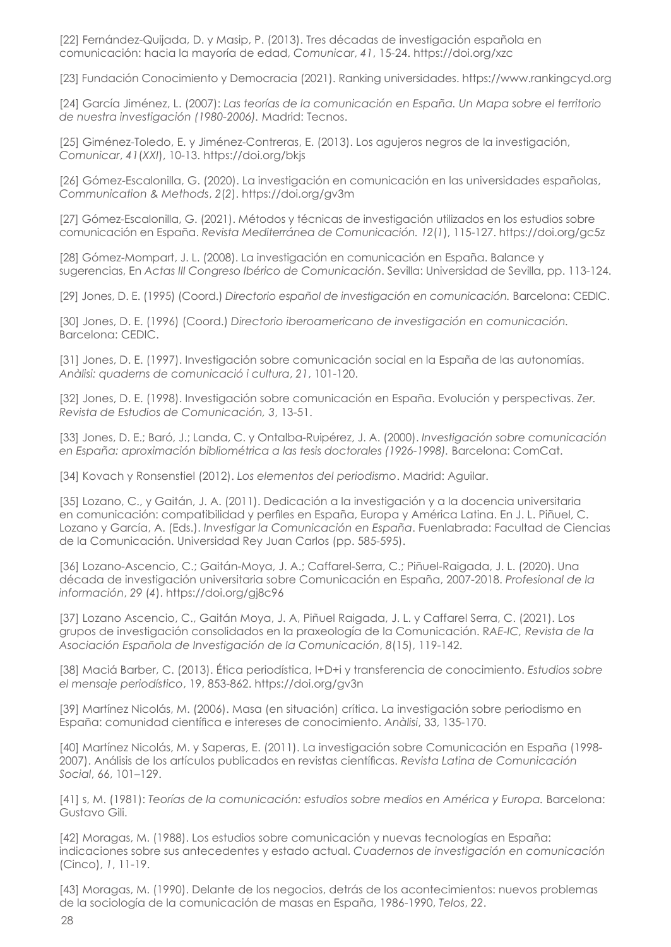[22] Fernández-Quijada, D. y Masip, P. (2013). Tres décadas de investigación española en comunicación: hacia la mayoría de edad, *Comunicar*, *41*, 15-24. https://doi.org/xzc

[23] Fundación Conocimiento y Democracia (2021). Ranking universidades. https://www.rankingcyd.org

[24] García Jiménez, L. (2007): *Las teorías de la comunicación en España. Un Mapa sobre el territorio de nuestra investigación (1980-2006).* Madrid: Tecnos.

[25] Giménez-Toledo, E. y Jiménez-Contreras, E. (2013). Los agujeros negros de la investigación, *Comunicar*, *41*(*XXI*), 10-13. https://doi.org/bkjs

[26] Gómez-Escalonilla, G. (2020). La investigación en comunicación en las universidades españolas, *Communication & Methods*, *2*(*2*). https://doi.org/gv3m

[27] Gómez-Escalonilla, G. (2021). Métodos y técnicas de investigación utilizados en los estudios sobre comunicación en España. *Revista Mediterránea de Comunicación. 12*(*1*), 115-127. https://doi.org/gc5z

[28] Gómez-Mompart, J. L. (2008). La investigación en comunicación en España. Balance y sugerencias, En *Actas III Congreso Ibérico de Comunicación*. Sevilla: Universidad de Sevilla, pp. 113-124.

[29] Jones, D. E. (1995) (Coord.) *Directorio español de investigación en comunicación.* Barcelona: CEDIC.

[30] Jones, D. E. (1996) (Coord.) *Directorio iberoamericano de investigación en comunicación.*  Barcelona: CEDIC.

[31] Jones, D. E. (1997). Investigación sobre comunicación social en la España de las autonomías. *Anàlisi: quaderns de comunicació i cultura*, *21*, 101-120.

[32] Jones, D. E. (1998). Investigación sobre comunicación en España. Evolución y perspectivas. *Zer. Revista de Estudios de Comunicación, 3*, 13-51.

[33] Jones, D. E.; Baró, J.; Landa, C. y Ontalba-Ruipérez, J. A. (2000). *Investigación sobre comunicación en España: aproximación bibliométrica a las tesis doctorales (1926-1998).* Barcelona: ComCat.

[34] Kovach y Ronsenstiel (2012). *Los elementos del periodismo*. Madrid: Aguilar.

[35] Lozano, C., y Gaitán, J. A. (2011). Dedicación a la investigación y a la docencia universitaria en comunicación: compatibilidad y perfiles en España, Europa y América Latina. En J. L. Piñuel, C. Lozano y García, A. (Eds.). *Investigar la Comunicación en España*. Fuenlabrada: Facultad de Ciencias de la Comunicación. Universidad Rey Juan Carlos (pp. 585-595).

[36] Lozano-Ascencio, C.; Gaitán-Moya, J. A.; Caffarel-Serra, C.; Piñuel-Raigada, J. L. (2020). Una década de investigación universitaria sobre Comunicación en España, 2007-2018. *Profesional de la información*, *29* (*4*). https://doi.org/gj8c96

[37] Lozano Ascencio, C., Gaitán Moya, J. A, Piñuel Raigada, J. L. y Caffarel Serra, C. (2021). Los grupos de investigación consolidados en la praxeología de la Comunicación. R*AE-IC, Revista de la Asociación Española de Investigación de la Comunicación*, *8*(15), 119-142.

[38] Maciá Barber, C. (2013). Ética periodística, I+D+i y transferencia de conocimiento. *Estudios sobre el mensaje periodístico*, 19, 853-862. https://doi.org/gv3n

[39] Martínez Nicolás, M. (2006). Masa (en situación) crítica. La investigación sobre periodismo en España: comunidad científica e intereses de conocimiento. *Anàlisi*, 33, 135-170.

[40] Martínez Nicolás, M. y Saperas, E. (2011). La investigación sobre Comunicación en España (1998- 2007). Análisis de los artículos publicados en revistas científicas. *Revista Latina de Comunicación Social*, 66, 101–129.

[41] s, M. (1981): *Teorías de la comunicación: estudios sobre medios en América y Europa.* Barcelona: Gustavo Gili.

[42] Moragas, M. (1988). Los estudios sobre comunicación y nuevas tecnologías en España: indicaciones sobre sus antecedentes y estado actual. *Cuadernos de investigación en comunicación* (Cinco), *1*, 11-19.

[43] Moragas, M. (1990). Delante de los negocios, detrás de los acontecimientos: nuevos problemas de la sociología de la comunicación de masas en España, 1986-1990, *Telos*, *22*.